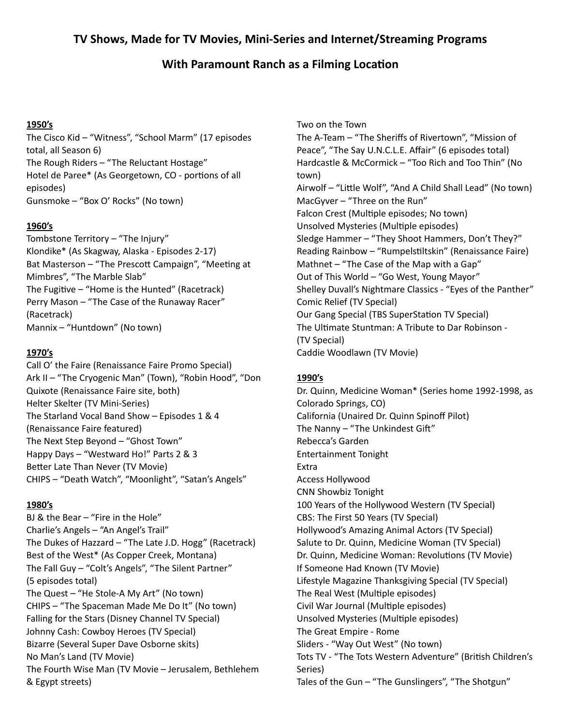## **TV Shows, Made for TV Movies, Mini-Series and Internet/Streaming Programs**

# **With Paramount Ranch as a Filming Location**

#### **1950's**

 The Cisco Kid – "Witness", "School Marm" (17 episodes total, all Season 6) The Rough Riders – "The Reluctant Hostage" Hotel de Paree\* (As Georgetown, CO - portions of all Gunsmoke – "Box O' Rocks" (No town) episodes)

### **1960's**

 Tombstone Territory – "The Injury" Klondike\* (As Skagway, Alaska - Episodes 2-17) Bat Masterson - "The Prescott Campaign", "Meeting at Mimbres", "The Marble Slab" The Fugitive – "Home is the Hunted" (Racetrack) Perry Mason – "The Case of the Runaway Racer" Mannix – "Huntdown" (No town) (Racetrack)

## **1970's**

 Call O' the Faire (Renaissance Faire Promo Special) Ark II – "The Cryogenic Man" (Town), "Robin Hood", "Don Quixote (Renaissance Faire site, both) Helter Skelter (TV Mini-Series) The Starland Vocal Band Show – Episodes 1 & 4 (Renaissance Faire featured) The Next Step Beyond – "Ghost Town" Happy Days – "Westward Ho!" Parts 2 & 3 Better Late Than Never (TV Movie) CHIPS – "Death Watch", "Moonlight", "Satan's Angels"

### **1980's**

 BJ & the Bear – "Fire in the Hole" Charlie's Angels – "An Angel's Trail" The Dukes of Hazzard – "The Late J.D. Hogg" (Racetrack) Best of the West\* (As Copper Creek, Montana) The Fall Guy – "Colt's Angels", "The Silent Partner" (5 episodes total) The Quest – "He Stole-A My Art" (No town) CHIPS – "The Spaceman Made Me Do It" (No town) Falling for the Stars (Disney Channel TV Special) Johnny Cash: Cowboy Heroes (TV Special) Bizarre (Several Super Dave Osborne skits) No Man's Land (TV Movie) The Fourth Wise Man (TV Movie – Jerusalem, Bethlehem & Egypt streets)

 Two on the Town The A-Team – "The Sheriffs of Rivertown", "Mission of Peace", "The Say U.N.C.L.E. Affair" (6 episodes total) Hardcastle & McCormick – "Too Rich and Too Thin" (No Airwolf – "Little Wolf", "And A Child Shall Lead" (No town) MacGyver – "Three on the Run" Unsolved Mysteries (Multiple episodes) Sledge Hammer – "They Shoot Hammers, Don't They?" Reading Rainbow - "Rumpelstiltskin" (Renaissance Faire) Mathnet – "The Case of the Map with a Gap" Out of This World – "Go West, Young Mayor" Shelley Duvall's Nightmare Classics - "Eyes of the Panther" Comic Relief (TV Special) Our Gang Special (TBS SuperStation TV Special) The Ultimate Stuntman: A Tribute to Dar Robinson - (TV Special) Caddie Woodlawn (TV Movie) town) Falcon Crest (Multiple episodes; No town)

### **1990's**

 Dr. Quinn, Medicine Woman\* (Series home 1992-1998, as Colorado Springs, CO) California (Unaired Dr. Quinn Spinoff Pilot) The Nanny – "The Unkindest Gift" Rebecca's Garden Access Hollywood 100 Years of the Hollywood Western (TV Special) CBS: The First 50 Years (TV Special) Hollywood's Amazing Animal Actors (TV Special) Salute to Dr. Quinn, Medicine Woman (TV Special) Dr. Quinn, Medicine Woman: Revolutions (TV Movie) If Someone Had Known (TV Movie) Lifestyle Magazine Thanksgiving Special (TV Special) The Real West (Multiple episodes) Civil War Journal (Multiple episodes) Unsolved Mysteries (Multiple episodes) The Great Empire - Rome Sliders - "Way Out West" (No town) Tots TV - "The Tots Western Adventure" (British Children's Tales of the Gun – "The Gunslingers", "The Shotgun" Entertainment Tonight Extra CNN Showbiz Tonight Series)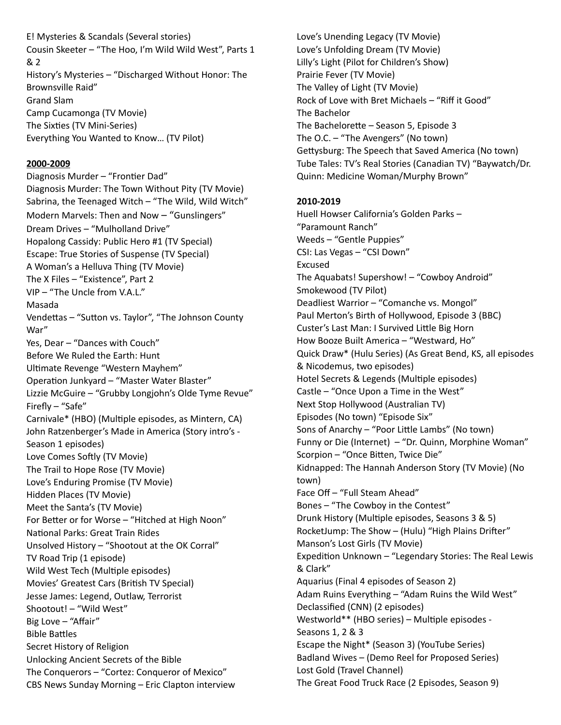E! Mysteries & Scandals (Several stories) Cousin Skeeter – "The Hoo, I'm Wild Wild West", Parts 1 History's Mysteries – "Discharged Without Honor: The Brownsville Raid" Grand Slam Camp Cucamonga (TV Movie) The Sixties (TV Mini-Series) Everything You Wanted to Know… (TV Pilot) & 2

#### **2000-2009**

Diagnosis Murder - "Frontier Dad" Diagnosis Murder: The Town Without Pity (TV Movie) Sabrina, the Teenaged Witch – "The Wild, Wild Witch" Modern Marvels: Then and Now – "Gunslingers" Dream Drives – "Mulholland Drive" Hopalong Cassidy: Public Hero #1 (TV Special) Escape: True Stories of Suspense (TV Special) A Woman's a Helluva Thing (TV Movie) The X Files – "Existence", Part 2 VIP – "The Uncle from V.A.L." Vendettas – "Sutton vs. Taylor", "The Johnson County Yes, Dear – "Dances with Couch" Before We Ruled the Earth: Hunt Ultimate Revenge "Western Mayhem" Operation Junkyard – "Master Water Blaster" Lizzie McGuire – "Grubby Longjohn's Olde Tyme Revue" Firefly – "Safe" Carnivale\* (HBO) (Multiple episodes, as Mintern, CA) John Ratzenberger's Made in America (Story intro's - Season 1 episodes) Love Comes Softly (TV Movie) The Trail to Hope Rose (TV Movie) Love's Enduring Promise (TV Movie) Hidden Places (TV Movie) Meet the Santa's (TV Movie) For Better or for Worse - "Hitched at High Noon" National Parks: Great Train Rides Unsolved History – "Shootout at the OK Corral" TV Road Trip (1 episode) Wild West Tech (Multiple episodes) Movies' Greatest Cars (British TV Special) Jesse James: Legend, Outlaw, Terrorist Shootout! – "Wild West" Big Love – "Affair" Secret History of Religion Unlocking Ancient Secrets of the Bible The Conquerors – "Cortez: Conqueror of Mexico" CBS News Sunday Morning – Eric Clapton interview Masada War" **Bible Battles** 

 Love's Unending Legacy (TV Movie) Lilly's Light (Pilot for Children's Show) Prairie Fever (TV Movie) The Valley of Light (TV Movie) Rock of Love with Bret Michaels – "Riff it Good" The Bachelor The Bachelorette – Season 5, Episode 3 The O.C. – "The Avengers" (No town) Gettysburg: The Speech that Saved America (No town) Tube Tales: TV's Real Stories (Canadian TV) "Baywatch/Dr. Quinn: Medicine Woman/Murphy Brown" Love's Unfolding Dream (TV Movie)

#### **2010-2019**

 Huell Howser California's Golden Parks – Weeds – "Gentle Puppies" CSI: Las Vegas – "CSI Down" The Aquabats! Supershow! – "Cowboy Android" Smokewood (TV Pilot) Deadliest Warrior – "Comanche vs. Mongol" Paul Merton's Birth of Hollywood, Episode 3 (BBC) Custer's Last Man: I Survived Little Big Horn How Booze Built America – "Westward, Ho" Quick Draw\* (Hulu Series) (As Great Bend, KS, all episodes & Nicodemus, two episodes) Hotel Secrets & Legends (Multiple episodes) Castle – "Once Upon a Time in the West" Next Stop Hollywood (Australian TV) Sons of Anarchy – "Poor Little Lambs" (No town) Funny or Die (Internet) – "Dr. Quinn, Morphine Woman" Scorpion – "Once Bitten, Twice Die" Kidnapped: The Hannah Anderson Story (TV Movie) (No Face Off – "Full Steam Ahead" Bones – "The Cowboy in the Contest" Drunk History (Multiple episodes, Seasons 3 & 5) RocketJump: The Show - (Hulu) "High Plains Drifter" Manson's Lost Girls (TV Movie) Expedition Unknown - "Legendary Stories: The Real Lewis & Clark" Aquarius (Final 4 episodes of Season 2) Adam Ruins Everything – "Adam Ruins the Wild West" Declassified (CNN) (2 episodes) Westworld\*\* (HBO series) – Multiple episodes - Seasons 1, 2 & 3 Escape the Night\* (Season 3) (YouTube Series) Badland Wives – (Demo Reel for Proposed Series) Lost Gold (Travel Channel) The Great Food Truck Race (2 Episodes, Season 9) "Paramount Ranch" Excused Episodes (No town) "Episode Six" town)